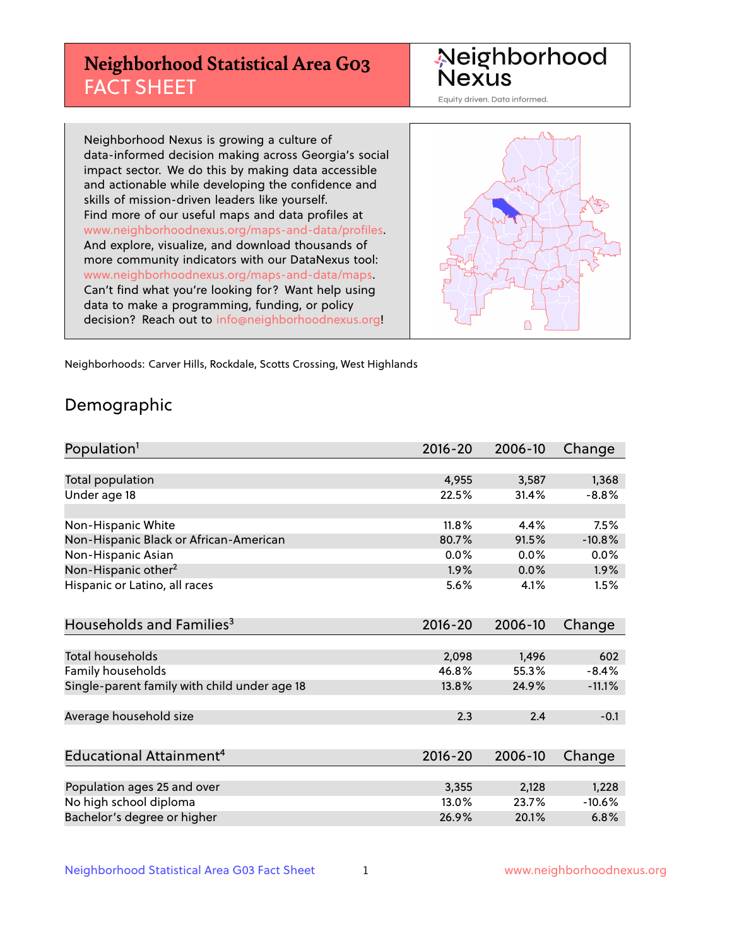# **Neighborhood Statistical Area G03** FACT SHEET

Neighborhood **Nexus** 

Equity driven. Data informed.

Neighborhood Nexus is growing a culture of data-informed decision making across Georgia's social impact sector. We do this by making data accessible and actionable while developing the confidence and skills of mission-driven leaders like yourself. Find more of our useful maps and data profiles at www.neighborhoodnexus.org/maps-and-data/profiles. And explore, visualize, and download thousands of more community indicators with our DataNexus tool: www.neighborhoodnexus.org/maps-and-data/maps. Can't find what you're looking for? Want help using data to make a programming, funding, or policy decision? Reach out to [info@neighborhoodnexus.org!](mailto:info@neighborhoodnexus.org)



Neighborhoods: Carver Hills, Rockdale, Scotts Crossing, West Highlands

### Demographic

| Population <sup>1</sup>                      | $2016 - 20$ | 2006-10 | Change   |
|----------------------------------------------|-------------|---------|----------|
|                                              |             |         |          |
| <b>Total population</b>                      | 4,955       | 3,587   | 1,368    |
| Under age 18                                 | 22.5%       | 31.4%   | $-8.8%$  |
|                                              |             |         |          |
| Non-Hispanic White                           | 11.8%       | 4.4%    | 7.5%     |
| Non-Hispanic Black or African-American       | 80.7%       | 91.5%   | $-10.8%$ |
| Non-Hispanic Asian                           | 0.0%        | 0.0%    | 0.0%     |
| Non-Hispanic other <sup>2</sup>              | 1.9%        | 0.0%    | $1.9\%$  |
| Hispanic or Latino, all races                | 5.6%        | 4.1%    | 1.5%     |
| Households and Families <sup>3</sup>         | $2016 - 20$ | 2006-10 | Change   |
|                                              |             |         |          |
| Total households                             | 2,098       | 1,496   | 602      |
| Family households                            | 46.8%       | 55.3%   | $-8.4%$  |
| Single-parent family with child under age 18 | 13.8%       | 24.9%   | $-11.1%$ |
| Average household size                       | 2.3         | 2.4     | $-0.1$   |
|                                              |             |         |          |
| Educational Attainment <sup>4</sup>          | $2016 - 20$ | 2006-10 | Change   |
|                                              |             |         |          |
| Population ages 25 and over                  | 3,355       | 2,128   | 1,228    |
| No high school diploma                       | 13.0%       | 23.7%   | $-10.6%$ |
| Bachelor's degree or higher                  | 26.9%       | 20.1%   | 6.8%     |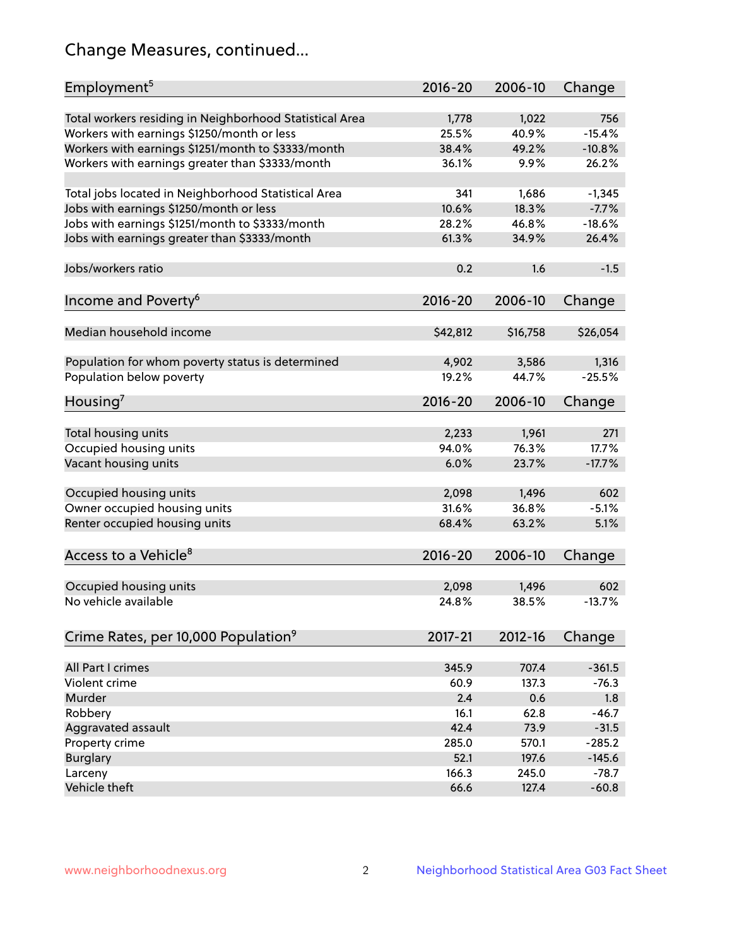# Change Measures, continued...

| Employment <sup>5</sup>                                 | 2016-20     | 2006-10  | Change   |
|---------------------------------------------------------|-------------|----------|----------|
| Total workers residing in Neighborhood Statistical Area | 1,778       | 1,022    | 756      |
| Workers with earnings \$1250/month or less              | 25.5%       | 40.9%    | $-15.4%$ |
| Workers with earnings \$1251/month to \$3333/month      | 38.4%       | 49.2%    | $-10.8%$ |
| Workers with earnings greater than \$3333/month         | 36.1%       | 9.9%     | 26.2%    |
|                                                         |             |          |          |
| Total jobs located in Neighborhood Statistical Area     | 341         | 1,686    | $-1,345$ |
| Jobs with earnings \$1250/month or less                 | 10.6%       | 18.3%    | $-7.7%$  |
| Jobs with earnings \$1251/month to \$3333/month         | 28.2%       | 46.8%    | $-18.6%$ |
| Jobs with earnings greater than \$3333/month            | 61.3%       | 34.9%    | 26.4%    |
|                                                         |             |          |          |
| Jobs/workers ratio                                      | 0.2         | 1.6      | $-1.5$   |
|                                                         |             |          |          |
| Income and Poverty <sup>6</sup>                         | 2016-20     | 2006-10  | Change   |
|                                                         |             |          |          |
| Median household income                                 | \$42,812    | \$16,758 | \$26,054 |
|                                                         |             |          |          |
| Population for whom poverty status is determined        | 4,902       | 3,586    | 1,316    |
| Population below poverty                                | 19.2%       | 44.7%    | $-25.5%$ |
|                                                         |             |          |          |
| Housing <sup>7</sup>                                    | 2016-20     | 2006-10  | Change   |
|                                                         |             |          |          |
| Total housing units                                     | 2,233       | 1,961    | 271      |
| Occupied housing units                                  | 94.0%       | 76.3%    | 17.7%    |
| Vacant housing units                                    | 6.0%        | 23.7%    | $-17.7%$ |
|                                                         |             |          |          |
| Occupied housing units                                  | 2,098       | 1,496    | 602      |
| Owner occupied housing units                            | 31.6%       | 36.8%    | $-5.1%$  |
| Renter occupied housing units                           | 68.4%       | 63.2%    | 5.1%     |
|                                                         |             |          |          |
| Access to a Vehicle <sup>8</sup>                        | $2016 - 20$ | 2006-10  | Change   |
|                                                         |             |          |          |
| Occupied housing units                                  | 2,098       | 1,496    | 602      |
| No vehicle available                                    | 24.8%       | 38.5%    | $-13.7%$ |
|                                                         |             |          |          |
| Crime Rates, per 10,000 Population <sup>9</sup>         | 2017-21     | 2012-16  | Change   |
|                                                         |             |          |          |
| All Part I crimes                                       | 345.9       | 707.4    | $-361.5$ |
| Violent crime                                           | 60.9        | 137.3    | $-76.3$  |
| Murder                                                  | 2.4         | 0.6      | 1.8      |
| Robbery                                                 | 16.1        | 62.8     | $-46.7$  |
| Aggravated assault                                      | 42.4        | 73.9     | $-31.5$  |
| Property crime                                          | 285.0       | 570.1    | $-285.2$ |
| <b>Burglary</b>                                         | 52.1        | 197.6    | $-145.6$ |
| Larceny                                                 | 166.3       | 245.0    | $-78.7$  |
| Vehicle theft                                           | 66.6        | 127.4    | $-60.8$  |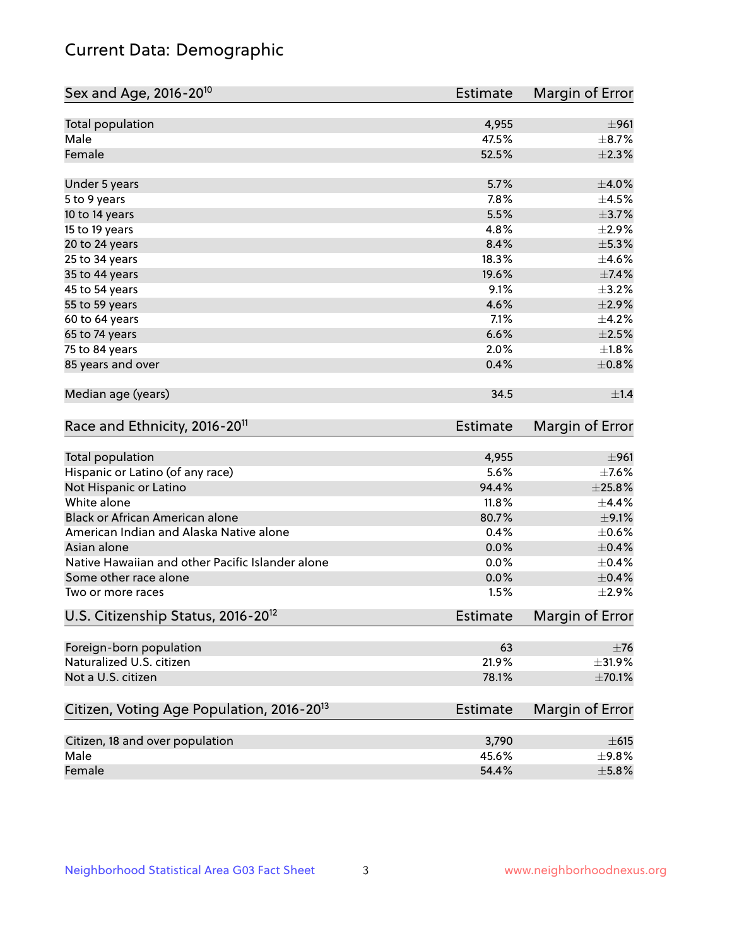# Current Data: Demographic

| Sex and Age, 2016-20 <sup>10</sup>                    | <b>Estimate</b> | Margin of Error        |
|-------------------------------------------------------|-----------------|------------------------|
| Total population                                      | 4,955           | ±961                   |
| Male                                                  | 47.5%           | $\pm$ 8.7%             |
| Female                                                | 52.5%           | $\pm 2.3\%$            |
| Under 5 years                                         | 5.7%            | $\pm 4.0\%$            |
| 5 to 9 years                                          | 7.8%            | $\pm 4.5\%$            |
| 10 to 14 years                                        | 5.5%            | $\pm$ 3.7%             |
| 15 to 19 years                                        | 4.8%            | $\pm 2.9\%$            |
| 20 to 24 years                                        | 8.4%            | $\pm$ 5.3%             |
| 25 to 34 years                                        | 18.3%           | $\pm 4.6\%$            |
| 35 to 44 years                                        | 19.6%           | $\pm$ 7.4%             |
| 45 to 54 years                                        | 9.1%            | $\pm$ 3.2%             |
| 55 to 59 years                                        | 4.6%            | $\pm 2.9\%$            |
| 60 to 64 years                                        | 7.1%            | $\pm$ 4.2%             |
| 65 to 74 years                                        | 6.6%            | $\pm 2.5\%$            |
| 75 to 84 years                                        | 2.0%            | $\pm1.8\%$             |
| 85 years and over                                     | 0.4%            | $\pm$ 0.8%             |
| Median age (years)                                    | 34.5            | $\pm 1.4$              |
| Race and Ethnicity, 2016-20 <sup>11</sup>             | <b>Estimate</b> | Margin of Error        |
| <b>Total population</b>                               | 4,955           | ±961                   |
| Hispanic or Latino (of any race)                      | 5.6%            | $\pm$ 7.6%             |
| Not Hispanic or Latino                                | 94.4%           | $\pm 25.8\%$           |
| White alone                                           | 11.8%           | ±4.4%                  |
| Black or African American alone                       | 80.7%           | $\pm$ 9.1%             |
| American Indian and Alaska Native alone               | 0.4%            | $\pm$ 0.6%             |
| Asian alone                                           | 0.0%            | $\pm$ 0.4%             |
| Native Hawaiian and other Pacific Islander alone      | 0.0%            | $\pm$ 0.4%             |
| Some other race alone                                 | 0.0%            | $\pm$ 0.4%             |
| Two or more races                                     | 1.5%            | $\pm 2.9\%$            |
| U.S. Citizenship Status, 2016-20 <sup>12</sup>        | <b>Estimate</b> | <b>Margin of Error</b> |
| Foreign-born population                               | 63              | $\pm$ 76               |
| Naturalized U.S. citizen                              | 21.9%           | $\pm$ 31.9%            |
| Not a U.S. citizen                                    | 78.1%           | $\pm 70.1\%$           |
| Citizen, Voting Age Population, 2016-20 <sup>13</sup> | Estimate        | Margin of Error        |
|                                                       |                 |                        |
| Citizen, 18 and over population<br>Male               | 3,790           | $\pm 615$<br>±9.8%     |
|                                                       | 45.6%           |                        |
| Female                                                | 54.4%           | $\pm$ 5.8%             |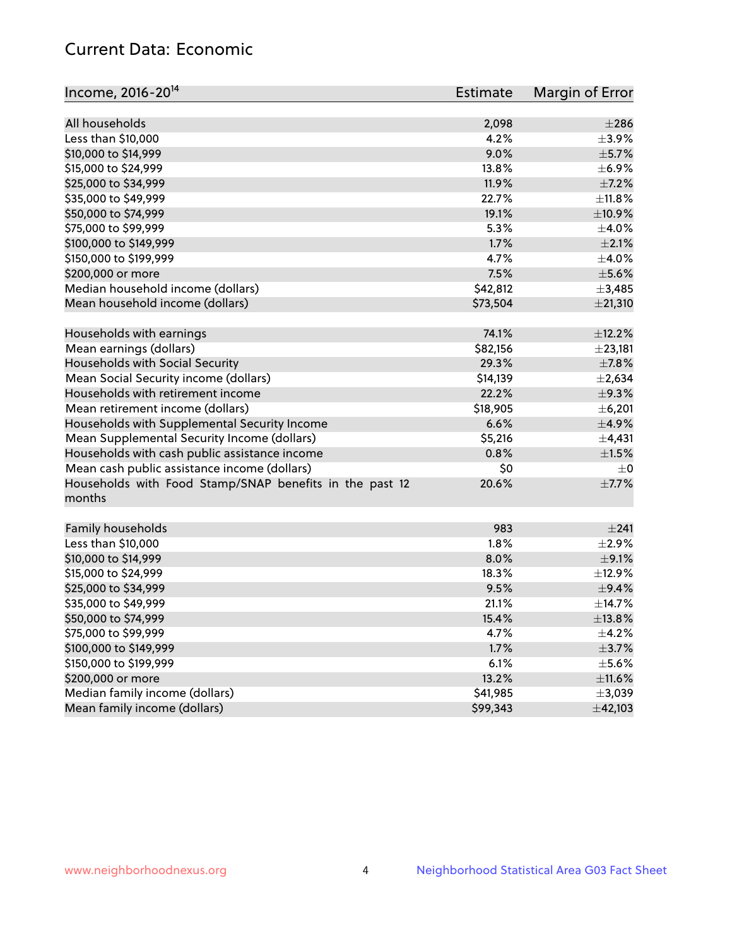# Current Data: Economic

| Income, 2016-20 <sup>14</sup>                           | Estimate | Margin of Error |
|---------------------------------------------------------|----------|-----------------|
|                                                         |          |                 |
| All households                                          | 2,098    | $\pm 286$       |
| Less than \$10,000                                      | 4.2%     | $\pm$ 3.9%      |
| \$10,000 to \$14,999                                    | 9.0%     | $\pm$ 5.7%      |
| \$15,000 to \$24,999                                    | 13.8%    | $\pm$ 6.9%      |
| \$25,000 to \$34,999                                    | 11.9%    | $\pm$ 7.2%      |
| \$35,000 to \$49,999                                    | 22.7%    | ±11.8%          |
| \$50,000 to \$74,999                                    | 19.1%    | $\pm$ 10.9%     |
| \$75,000 to \$99,999                                    | 5.3%     | $\pm$ 4.0%      |
| \$100,000 to \$149,999                                  | 1.7%     | $\pm 2.1\%$     |
| \$150,000 to \$199,999                                  | 4.7%     | $\pm$ 4.0%      |
| \$200,000 or more                                       | 7.5%     | $\pm$ 5.6%      |
| Median household income (dollars)                       | \$42,812 | ±3,485          |
| Mean household income (dollars)                         | \$73,504 | ±21,310         |
| Households with earnings                                | 74.1%    | ±12.2%          |
| Mean earnings (dollars)                                 | \$82,156 | ±23,181         |
| Households with Social Security                         | 29.3%    | $\pm$ 7.8%      |
| Mean Social Security income (dollars)                   | \$14,139 | $\pm 2,634$     |
| Households with retirement income                       | 22.2%    | ±9.3%           |
| Mean retirement income (dollars)                        | \$18,905 | ±6,201          |
| Households with Supplemental Security Income            | 6.6%     | $\pm$ 4.9%      |
| Mean Supplemental Security Income (dollars)             | \$5,216  | $\pm$ 4,431     |
| Households with cash public assistance income           | 0.8%     | $\pm 1.5\%$     |
| Mean cash public assistance income (dollars)            | \$0      | $\pm 0$         |
| Households with Food Stamp/SNAP benefits in the past 12 | 20.6%    | $\pm$ 7.7%      |
| months                                                  |          |                 |
| Family households                                       | 983      | ±241            |
| Less than \$10,000                                      | 1.8%     | ±2.9%           |
| \$10,000 to \$14,999                                    | 8.0%     | $\pm$ 9.1%      |
| \$15,000 to \$24,999                                    | 18.3%    | ±12.9%          |
| \$25,000 to \$34,999                                    | 9.5%     | $\pm$ 9.4%      |
| \$35,000 to \$49,999                                    | 21.1%    | ±14.7%          |
|                                                         | 15.4%    |                 |
| \$50,000 to \$74,999<br>\$75,000 to \$99,999            |          | ±13.8%          |
| \$100,000 to \$149,999                                  | 4.7%     | $\pm$ 4.2%      |
|                                                         | 1.7%     | $\pm$ 3.7%      |
| \$150,000 to \$199,999                                  | 6.1%     | $\pm$ 5.6%      |
| \$200,000 or more                                       | 13.2%    | $\pm$ 11.6%     |
| Median family income (dollars)                          | \$41,985 | ±3,039          |
| Mean family income (dollars)                            | \$99,343 | ±42,103         |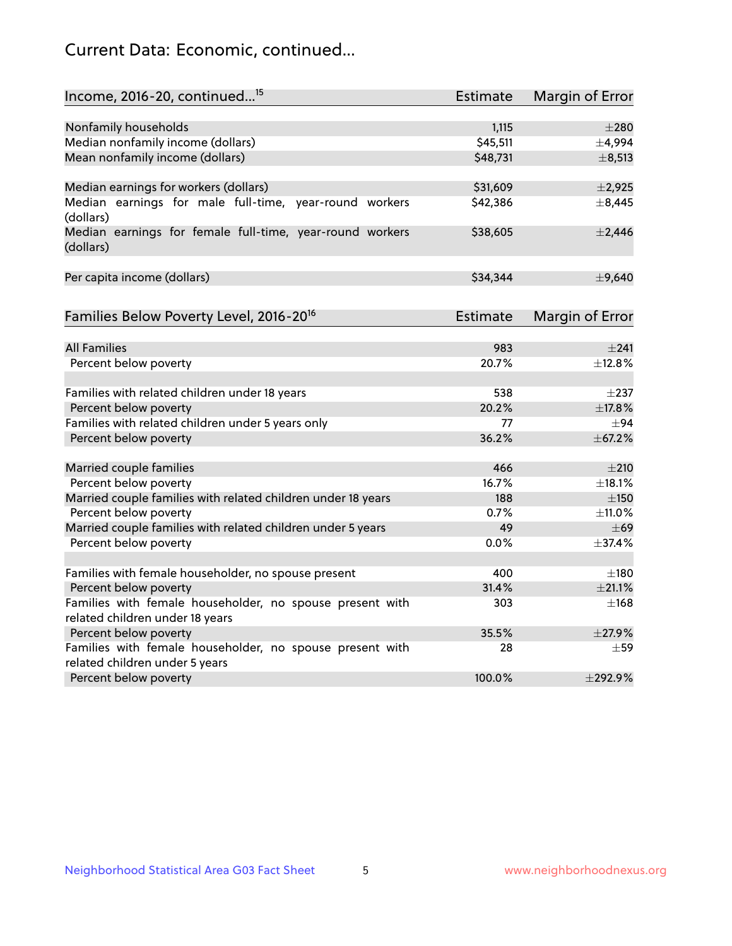# Current Data: Economic, continued...

| Income, 2016-20, continued <sup>15</sup>                              | <b>Estimate</b> | <b>Margin of Error</b> |
|-----------------------------------------------------------------------|-----------------|------------------------|
|                                                                       |                 |                        |
| Nonfamily households                                                  | 1,115           | $\pm 280$              |
| Median nonfamily income (dollars)                                     | \$45,511        | ±4,994                 |
| Mean nonfamily income (dollars)                                       | \$48,731        | $\pm$ 8,513            |
| Median earnings for workers (dollars)                                 | \$31,609        | $\pm$ 2,925            |
| Median earnings for male full-time, year-round workers<br>(dollars)   | \$42,386        | ±8,445                 |
| Median earnings for female full-time, year-round workers<br>(dollars) | \$38,605        | $\pm$ 2,446            |
| Per capita income (dollars)                                           | \$34,344        | ±9,640                 |
| Families Below Poverty Level, 2016-20 <sup>16</sup>                   | <b>Estimate</b> | <b>Margin of Error</b> |
|                                                                       |                 |                        |
| <b>All Families</b>                                                   | 983             | ±241                   |
| Percent below poverty                                                 | 20.7%           | ±12.8%                 |
| Families with related children under 18 years                         | 538             | $\pm$ 237              |
| Percent below poverty                                                 | 20.2%           | ±17.8%                 |
| Families with related children under 5 years only                     | 77              | $\pm$ 94               |
| Percent below poverty                                                 | 36.2%           | ±67.2%                 |
| Married couple families                                               | 466             | $\pm 210$              |
| Percent below poverty                                                 | 16.7%           | ±18.1%                 |
| Married couple families with related children under 18 years          | 188             | $\pm 150$              |
| Percent below poverty                                                 | 0.7%            | ±11.0%                 |
| Married couple families with related children under 5 years           | 49              | $\pm 69$               |
| Percent below poverty                                                 | $0.0\%$         | ±37.4%                 |
| Families with female householder, no spouse present                   | 400             | $\pm$ 180              |
| Percent below poverty                                                 | 31.4%           | $\pm 21.1\%$           |
| Families with female householder, no spouse present with              | 303             | $+168$                 |
| related children under 18 years                                       |                 |                        |
| Percent below poverty                                                 | 35.5%           | ±27.9%                 |
| Families with female householder, no spouse present with              | 28              | $\pm$ 59               |
| related children under 5 years                                        |                 |                        |
| Percent below poverty                                                 | 100.0%          | ±292.9%                |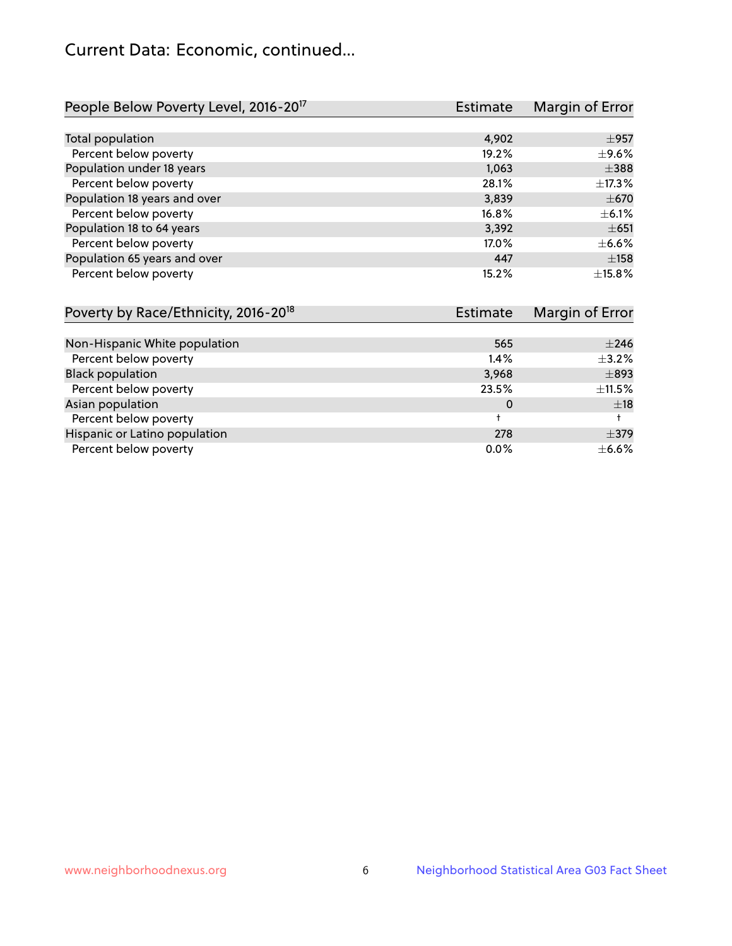# Current Data: Economic, continued...

| People Below Poverty Level, 2016-20 <sup>17</sup> | <b>Estimate</b> | Margin of Error |
|---------------------------------------------------|-----------------|-----------------|
|                                                   |                 |                 |
| Total population                                  | 4,902           | $\pm$ 957       |
| Percent below poverty                             | 19.2%           | $\pm$ 9.6%      |
| Population under 18 years                         | 1,063           | $\pm$ 388       |
| Percent below poverty                             | 28.1%           | ±17.3%          |
| Population 18 years and over                      | 3,839           | $\pm$ 670       |
| Percent below poverty                             | 16.8%           | $\pm$ 6.1%      |
| Population 18 to 64 years                         | 3,392           | $\pm 651$       |
| Percent below poverty                             | 17.0%           | $\pm$ 6.6%      |
| Population 65 years and over                      | 447             | $\pm$ 158       |
| Percent below poverty                             | 15.2%           | ±15.8%          |

| Poverty by Race/Ethnicity, 2016-20 <sup>18</sup> | <b>Estimate</b> |             |
|--------------------------------------------------|-----------------|-------------|
|                                                  |                 |             |
| Non-Hispanic White population                    | 565             | $\pm 246$   |
| Percent below poverty                            | $1.4\%$         | $\pm$ 3.2%  |
| <b>Black population</b>                          | 3,968           | $\pm$ 893   |
| Percent below poverty                            | 23.5%           | $\pm$ 11.5% |
| Asian population                                 | 0               | ±18         |
| Percent below poverty                            |                 |             |
| Hispanic or Latino population                    | 278             | $\pm$ 379   |
| Percent below poverty                            | $0.0\%$         | $\pm$ 6.6%  |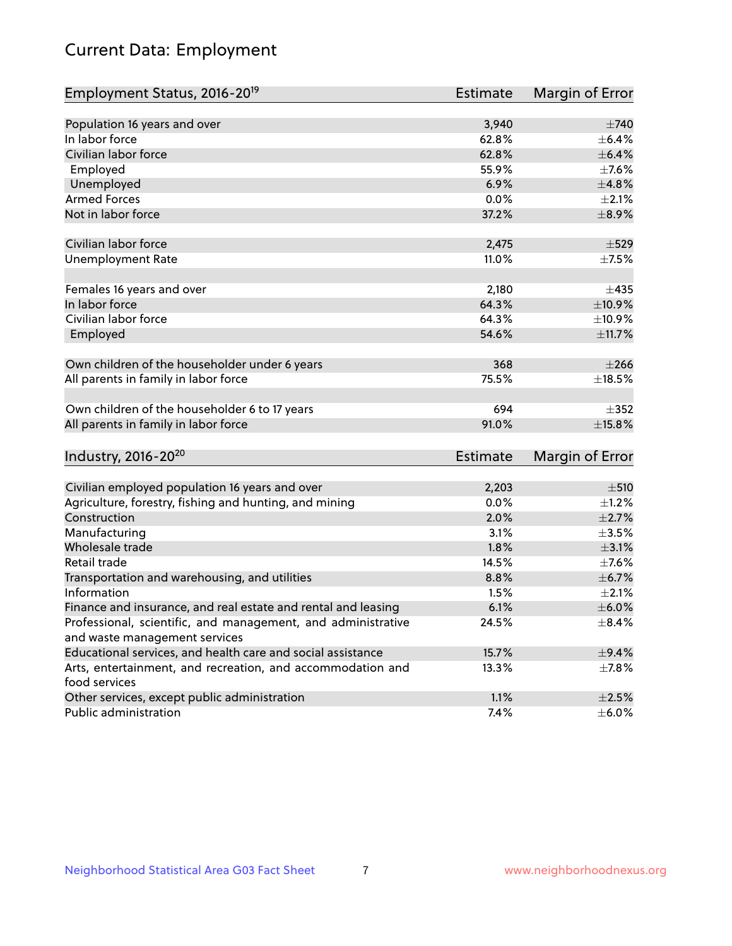# Current Data: Employment

| Employment Status, 2016-20 <sup>19</sup>                      | <b>Estimate</b> | Margin of Error |
|---------------------------------------------------------------|-----------------|-----------------|
|                                                               |                 |                 |
| Population 16 years and over                                  | 3,940           | $\pm 740$       |
| In labor force                                                | 62.8%           | $\pm$ 6.4%      |
| Civilian labor force                                          | 62.8%           | $\pm$ 6.4%      |
| Employed                                                      | 55.9%           | $\pm$ 7.6%      |
| Unemployed                                                    | 6.9%            | ±4.8%           |
| <b>Armed Forces</b>                                           | 0.0%            | $\pm 2.1\%$     |
| Not in labor force                                            | 37.2%           | $\pm$ 8.9%      |
| Civilian labor force                                          | 2,475           | $\pm$ 529       |
| <b>Unemployment Rate</b>                                      | 11.0%           | $\pm$ 7.5%      |
|                                                               |                 |                 |
| Females 16 years and over                                     | 2,180           | $\pm$ 435       |
| In labor force                                                | 64.3%           | ±10.9%          |
| Civilian labor force                                          | 64.3%           | ±10.9%          |
| Employed                                                      | 54.6%           | ±11.7%          |
| Own children of the householder under 6 years                 | 368             | $\pm 266$       |
| All parents in family in labor force                          | 75.5%           | $\pm$ 18.5%     |
|                                                               |                 |                 |
| Own children of the householder 6 to 17 years                 | 694             | $\pm$ 352       |
| All parents in family in labor force                          | 91.0%           | $\pm$ 15.8%     |
| Industry, 2016-20 <sup>20</sup>                               | <b>Estimate</b> | Margin of Error |
|                                                               |                 |                 |
| Civilian employed population 16 years and over                | 2,203           | $\pm$ 510       |
| Agriculture, forestry, fishing and hunting, and mining        | 0.0%            | $\pm$ 1.2%      |
| Construction                                                  | 2.0%            | $\pm 2.7\%$     |
| Manufacturing                                                 | 3.1%            | $\pm$ 3.5%      |
| Wholesale trade                                               | 1.8%            | $\pm$ 3.1%      |
| Retail trade                                                  | 14.5%           | $\pm$ 7.6%      |
| Transportation and warehousing, and utilities                 | 8.8%            | ±6.7%           |
| Information                                                   | 1.5%            | $\pm 2.1\%$     |
| Finance and insurance, and real estate and rental and leasing | 6.1%            | $\pm$ 6.0%      |
| Professional, scientific, and management, and administrative  | 24.5%           | $\pm$ 8.4%      |
| and waste management services                                 |                 |                 |
| Educational services, and health care and social assistance   | 15.7%           | $\pm$ 9.4%      |
| Arts, entertainment, and recreation, and accommodation and    | 13.3%           | $\pm$ 7.8%      |
| food services                                                 |                 |                 |
| Other services, except public administration                  | 1.1%            | $\pm 2.5\%$     |
| Public administration                                         | 7.4%            | $\pm$ 6.0%      |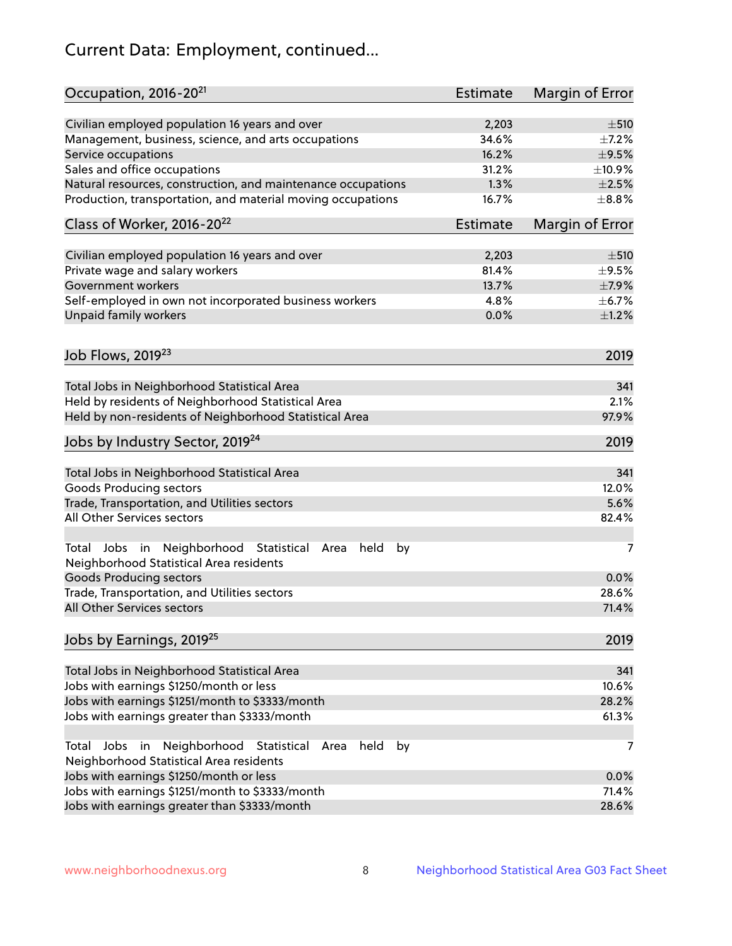# Current Data: Employment, continued...

| Occupation, 2016-20 <sup>21</sup>                                                                       | Estimate | Margin of Error |
|---------------------------------------------------------------------------------------------------------|----------|-----------------|
| Civilian employed population 16 years and over                                                          | 2,203    | $\pm 510$       |
| Management, business, science, and arts occupations                                                     | 34.6%    | $\pm$ 7.2%      |
| Service occupations                                                                                     | 16.2%    | $\pm$ 9.5%      |
| Sales and office occupations                                                                            | 31.2%    | ±10.9%          |
| Natural resources, construction, and maintenance occupations                                            | 1.3%     | $\pm 2.5\%$     |
| Production, transportation, and material moving occupations                                             | 16.7%    | $\pm$ 8.8%      |
| Class of Worker, 2016-20 <sup>22</sup>                                                                  | Estimate | Margin of Error |
| Civilian employed population 16 years and over                                                          | 2,203    | $\pm$ 510       |
| Private wage and salary workers                                                                         | 81.4%    | $\pm$ 9.5%      |
| Government workers                                                                                      | 13.7%    | $\pm$ 7.9%      |
| Self-employed in own not incorporated business workers                                                  | 4.8%     | $\pm$ 6.7%      |
| Unpaid family workers                                                                                   | 0.0%     | $\pm 1.2\%$     |
|                                                                                                         |          |                 |
| Job Flows, 2019 <sup>23</sup>                                                                           |          | 2019            |
| Total Jobs in Neighborhood Statistical Area                                                             |          | 341             |
| Held by residents of Neighborhood Statistical Area                                                      |          | 2.1%            |
| Held by non-residents of Neighborhood Statistical Area                                                  |          | 97.9%           |
| Jobs by Industry Sector, 2019 <sup>24</sup>                                                             |          | 2019            |
| Total Jobs in Neighborhood Statistical Area                                                             |          | 341             |
| <b>Goods Producing sectors</b>                                                                          |          | 12.0%           |
| Trade, Transportation, and Utilities sectors                                                            |          | 5.6%            |
| All Other Services sectors                                                                              |          | 82.4%           |
| Total Jobs in Neighborhood Statistical<br>held<br>by<br>Area<br>Neighborhood Statistical Area residents |          | 7               |
| <b>Goods Producing sectors</b>                                                                          |          | 0.0%            |
| Trade, Transportation, and Utilities sectors                                                            |          | 28.6%           |
| All Other Services sectors                                                                              |          | 71.4%           |
| Jobs by Earnings, 2019 <sup>25</sup>                                                                    |          | 2019            |
| Total Jobs in Neighborhood Statistical Area                                                             |          | 341             |
| Jobs with earnings \$1250/month or less                                                                 |          | 10.6%           |
| Jobs with earnings \$1251/month to \$3333/month                                                         |          | 28.2%           |
| Jobs with earnings greater than \$3333/month                                                            |          | 61.3%           |
| Neighborhood Statistical<br>Jobs<br>in<br>held<br>by<br>Total<br>Area                                   |          | 7               |
| Neighborhood Statistical Area residents                                                                 |          |                 |
| Jobs with earnings \$1250/month or less                                                                 |          | 0.0%            |
| Jobs with earnings \$1251/month to \$3333/month                                                         |          | 71.4%           |
| Jobs with earnings greater than \$3333/month                                                            |          | 28.6%           |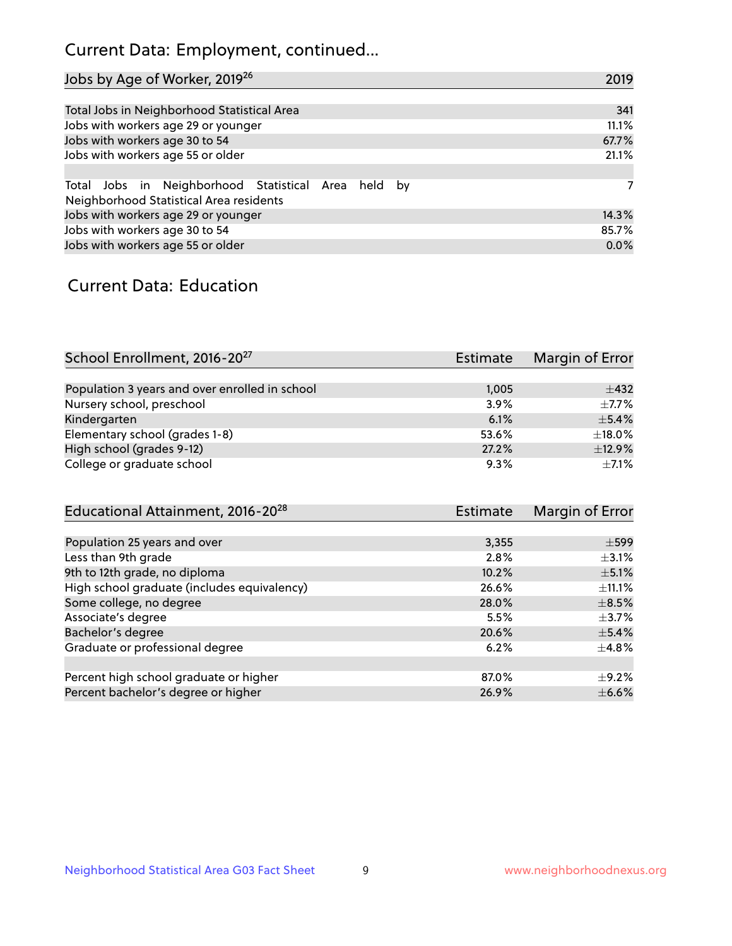# Current Data: Employment, continued...

| Jobs by Age of Worker, 2019 <sup>26</sup>                                                      | 2019  |
|------------------------------------------------------------------------------------------------|-------|
|                                                                                                |       |
| Total Jobs in Neighborhood Statistical Area                                                    | 341   |
| Jobs with workers age 29 or younger                                                            | 11.1% |
| Jobs with workers age 30 to 54                                                                 | 67.7% |
| Jobs with workers age 55 or older                                                              | 21.1% |
|                                                                                                |       |
| Total Jobs in Neighborhood Statistical Area held by<br>Neighborhood Statistical Area residents | 7     |
| Jobs with workers age 29 or younger                                                            | 14.3% |
| Jobs with workers age 30 to 54                                                                 | 85.7% |
| Jobs with workers age 55 or older                                                              | 0.0%  |

### Current Data: Education

| School Enrollment, 2016-20 <sup>27</sup>       | <b>Estimate</b> | Margin of Error |
|------------------------------------------------|-----------------|-----------------|
|                                                |                 |                 |
| Population 3 years and over enrolled in school | 1,005           | $\pm$ 432       |
| Nursery school, preschool                      | 3.9%            | $+7.7%$         |
| Kindergarten                                   | 6.1%            | $\pm$ 5.4%      |
| Elementary school (grades 1-8)                 | 53.6%           | ±18.0%          |
| High school (grades 9-12)                      | 27.2%           | ±12.9%          |
| College or graduate school                     | 9.3%            | $+7.1%$         |

| Educational Attainment, 2016-20 <sup>28</sup> | <b>Estimate</b> | Margin of Error |
|-----------------------------------------------|-----------------|-----------------|
|                                               |                 |                 |
| Population 25 years and over                  | 3,355           | $\pm$ 599       |
| Less than 9th grade                           | 2.8%            | $\pm$ 3.1%      |
| 9th to 12th grade, no diploma                 | 10.2%           | $\pm$ 5.1%      |
| High school graduate (includes equivalency)   | 26.6%           | $\pm$ 11.1%     |
| Some college, no degree                       | 28.0%           | $\pm$ 8.5%      |
| Associate's degree                            | 5.5%            | $\pm$ 3.7%      |
| Bachelor's degree                             | 20.6%           | $\pm$ 5.4%      |
| Graduate or professional degree               | 6.2%            | $\pm$ 4.8%      |
|                                               |                 |                 |
| Percent high school graduate or higher        | 87.0%           | $\pm$ 9.2%      |
| Percent bachelor's degree or higher           | 26.9%           | $\pm$ 6.6%      |
|                                               |                 |                 |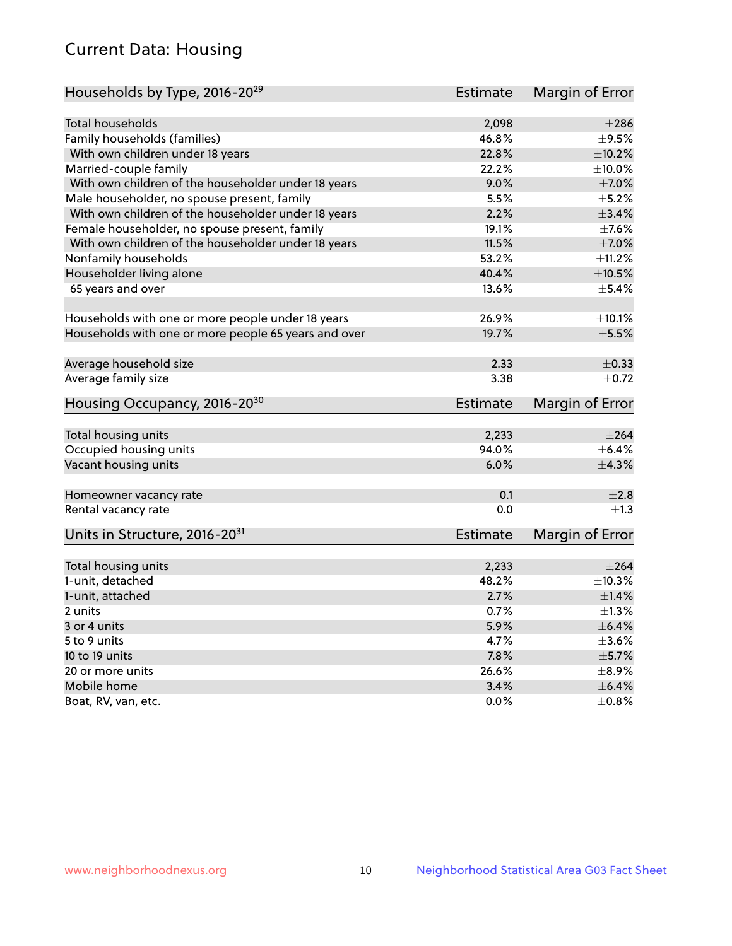# Current Data: Housing

| Households by Type, 2016-20 <sup>29</sup>            | <b>Estimate</b> | Margin of Error |
|------------------------------------------------------|-----------------|-----------------|
|                                                      |                 |                 |
| Total households                                     | 2,098           | $\pm 286$       |
| Family households (families)                         | 46.8%           | $\pm$ 9.5%      |
| With own children under 18 years                     | 22.8%           | ±10.2%          |
| Married-couple family                                | 22.2%           | $\pm$ 10.0%     |
| With own children of the householder under 18 years  | 9.0%            | $\pm$ 7.0%      |
| Male householder, no spouse present, family          | 5.5%            | $\pm$ 5.2%      |
| With own children of the householder under 18 years  | 2.2%            | $\pm$ 3.4%      |
| Female householder, no spouse present, family        | 19.1%           | $\pm$ 7.6%      |
| With own children of the householder under 18 years  | 11.5%           | $\pm$ 7.0%      |
| Nonfamily households                                 | 53.2%           | ±11.2%          |
| Householder living alone                             | 40.4%           | $\pm 10.5\%$    |
| 65 years and over                                    | 13.6%           | $\pm$ 5.4%      |
|                                                      |                 |                 |
| Households with one or more people under 18 years    | 26.9%           | ±10.1%          |
| Households with one or more people 65 years and over | 19.7%           | $\pm$ 5.5%      |
|                                                      |                 |                 |
| Average household size                               | 2.33            | $\pm$ 0.33      |
| Average family size                                  | 3.38            | $\pm$ 0.72      |
| Housing Occupancy, 2016-20 <sup>30</sup>             | <b>Estimate</b> | Margin of Error |
|                                                      |                 |                 |
| Total housing units                                  | 2,233           | $\pm 264$       |
| Occupied housing units                               | 94.0%           | $\pm$ 6.4%      |
| Vacant housing units                                 | 6.0%            | ±4.3%           |
| Homeowner vacancy rate                               | 0.1             | ±2.8            |
| Rental vacancy rate                                  | 0.0             | $\pm 1.3$       |
| Units in Structure, 2016-20 <sup>31</sup>            | Estimate        | Margin of Error |
|                                                      |                 |                 |
| Total housing units                                  | 2,233           | $\pm 264$       |
| 1-unit, detached                                     | 48.2%           | $\pm$ 10.3%     |
| 1-unit, attached                                     | 2.7%            | $\pm 1.4\%$     |
| 2 units                                              | 0.7%            | $\pm 1.3\%$     |
| 3 or 4 units                                         | 5.9%            | $\pm$ 6.4%      |
| 5 to 9 units                                         | 4.7%            | $\pm 3.6\%$     |
| 10 to 19 units                                       | 7.8%            | $\pm$ 5.7%      |
| 20 or more units                                     | 26.6%           | $\pm$ 8.9%      |
| Mobile home                                          | 3.4%            | $\pm$ 6.4%      |
| Boat, RV, van, etc.                                  | $0.0\%$         | $\pm$ 0.8%      |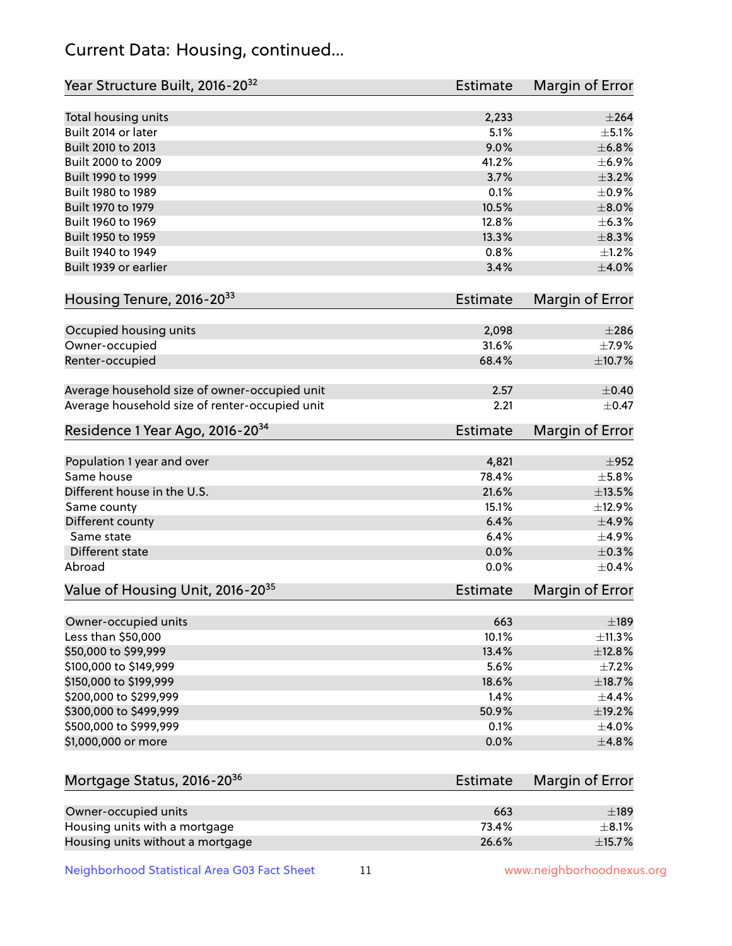# Current Data: Housing, continued...

| Year Structure Built, 2016-20 <sup>32</sup>    | <b>Estimate</b> | Margin of Error |
|------------------------------------------------|-----------------|-----------------|
| Total housing units                            | 2,233           | $\pm 264$       |
| Built 2014 or later                            | 5.1%            | $\pm$ 5.1%      |
| Built 2010 to 2013                             | 9.0%            | ±6.8%           |
| Built 2000 to 2009                             | 41.2%           | $\pm$ 6.9%      |
| Built 1990 to 1999                             | 3.7%            | $\pm$ 3.2%      |
| Built 1980 to 1989                             | 0.1%            | $\pm$ 0.9%      |
| Built 1970 to 1979                             | 10.5%           | $\pm$ 8.0%      |
| Built 1960 to 1969                             | 12.8%           | ±6.3%           |
| Built 1950 to 1959                             | 13.3%           | $\pm$ 8.3%      |
| Built 1940 to 1949                             | 0.8%            | $\pm$ 1.2%      |
| Built 1939 or earlier                          | 3.4%            | $\pm 4.0\%$     |
| Housing Tenure, 2016-2033                      | <b>Estimate</b> | Margin of Error |
| Occupied housing units                         | 2,098           | $\pm 286$       |
| Owner-occupied                                 | 31.6%           | $\pm$ 7.9%      |
| Renter-occupied                                | 68.4%           | $\pm$ 10.7%     |
| Average household size of owner-occupied unit  | 2.57            | $\pm$ 0.40      |
| Average household size of renter-occupied unit | 2.21            | $\pm$ 0.47      |
| Residence 1 Year Ago, 2016-20 <sup>34</sup>    | <b>Estimate</b> | Margin of Error |
|                                                |                 |                 |
| Population 1 year and over                     | 4,821           | $\pm$ 952       |
| Same house                                     | 78.4%           | $\pm$ 5.8%      |
| Different house in the U.S.                    | 21.6%           | $\pm$ 13.5%     |
| Same county                                    | 15.1%           | ±12.9%          |
| Different county                               | 6.4%            | $\pm$ 4.9%      |
| Same state                                     | 6.4%            | ±4.9%           |
| Different state                                | 0.0%            | $\pm$ 0.3%      |
| Abroad                                         | 0.0%            | $\pm$ 0.4%      |
| Value of Housing Unit, 2016-20 <sup>35</sup>   | <b>Estimate</b> | Margin of Error |
| Owner-occupied units                           | 663             | $\pm$ 189       |
| Less than \$50,000                             | 10.1%           | ±11.3%          |
| \$50,000 to \$99,999                           | 13.4%           | ±12.8%          |
| \$100,000 to \$149,999                         | 5.6%            | $\pm$ 7.2%      |
| \$150,000 to \$199,999                         | 18.6%           | ±18.7%          |
| \$200,000 to \$299,999                         | 1.4%            | $\pm$ 4.4%      |
| \$300,000 to \$499,999                         | 50.9%           | ±19.2%          |
| \$500,000 to \$999,999                         | 0.1%            | $\pm$ 4.0%      |
| \$1,000,000 or more                            | 0.0%            | ±4.8%           |
| Mortgage Status, 2016-20 <sup>36</sup>         | <b>Estimate</b> | Margin of Error |
| Owner-occupied units                           | 663             | $\pm$ 189       |
| Housing units with a mortgage                  | 73.4%           | $\pm$ 8.1%      |
| Housing units without a mortgage               | 26.6%           | ±15.7%          |

Neighborhood Statistical Area G03 Fact Sheet 11 11 www.neighborhoodnexus.org

Housing units without a mortgage 26.6%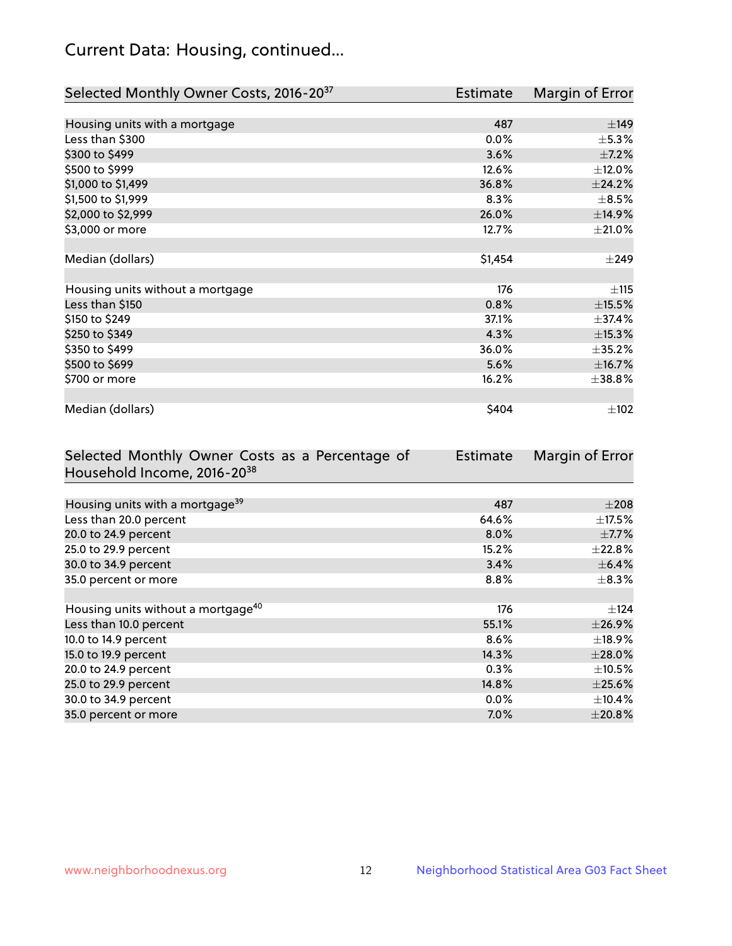# Current Data: Housing, continued...

| Selected Monthly Owner Costs, 2016-20 <sup>37</sup> | <b>Estimate</b> | Margin of Error |
|-----------------------------------------------------|-----------------|-----------------|
|                                                     |                 |                 |
| Housing units with a mortgage                       | 487             | ±149            |
| Less than \$300                                     | $0.0\%$         | $\pm$ 5.3%      |
| \$300 to \$499                                      | 3.6%            | $\pm$ 7.2%      |
| \$500 to \$999                                      | 12.6%           | $\pm$ 12.0%     |
| \$1,000 to \$1,499                                  | 36.8%           | ±24.2%          |
| \$1,500 to \$1,999                                  | 8.3%            | $\pm$ 8.5%      |
| \$2,000 to \$2,999                                  | 26.0%           | ±14.9%          |
| \$3,000 or more                                     | 12.7%           | $\pm 21.0\%$    |
|                                                     |                 |                 |
| Median (dollars)                                    | \$1,454         | $\pm$ 249       |
|                                                     |                 |                 |
| Housing units without a mortgage                    | 176             | ±115            |
| Less than \$150                                     | 0.8%            | $\pm$ 15.5%     |
| \$150 to \$249                                      | 37.1%           | ±37.4%          |
| \$250 to \$349                                      | 4.3%            | $\pm$ 15.3%     |
| \$350 to \$499                                      | 36.0%           | $\pm 35.2 \%$   |
| \$500 to \$699                                      | 5.6%            | ±16.7%          |
| \$700 or more                                       | 16.2%           | ±38.8%          |
|                                                     |                 |                 |
| Median (dollars)                                    | \$404           | $\pm$ 102       |

| Selected Monthly Owner Costs as a Percentage of | <b>Estimate</b> | Margin of Error |
|-------------------------------------------------|-----------------|-----------------|
| Household Income, 2016-2038                     |                 |                 |
|                                                 |                 |                 |
| Housing units with a mortgage <sup>39</sup>     | 487             | $\pm 208$       |
| Less than 20.0 percent                          | 64.6%           | $\pm$ 17.5%     |
| 20.0 to 24.9 percent                            | 8.0%            | $\pm$ 7.7%      |
| 25.0 to 29.9 percent                            | 15.2%           | $\pm$ 22.8%     |
| 30.0 to 34.9 percent                            | 3.4%            | $\pm$ 6.4%      |
| 35.0 percent or more                            | $8.8\%$         | $\pm$ 8.3%      |
|                                                 |                 |                 |
| Housing units without a mortgage <sup>40</sup>  | 176             | $\pm$ 124       |
| Less than 10.0 percent                          | 55.1%           | ±26.9%          |
| 10.0 to 14.9 percent                            | 8.6%            | $\pm$ 18.9%     |
| 15.0 to 19.9 percent                            | 14.3%           | $\pm 28.0\%$    |
| 20.0 to 24.9 percent                            | 0.3%            | $\pm$ 10.5%     |
| 25.0 to 29.9 percent                            | 14.8%           | $\pm$ 25.6%     |
| 30.0 to 34.9 percent                            | $0.0\%$         | $\pm$ 10.4%     |
| 35.0 percent or more                            | 7.0%            | $\pm 20.8\%$    |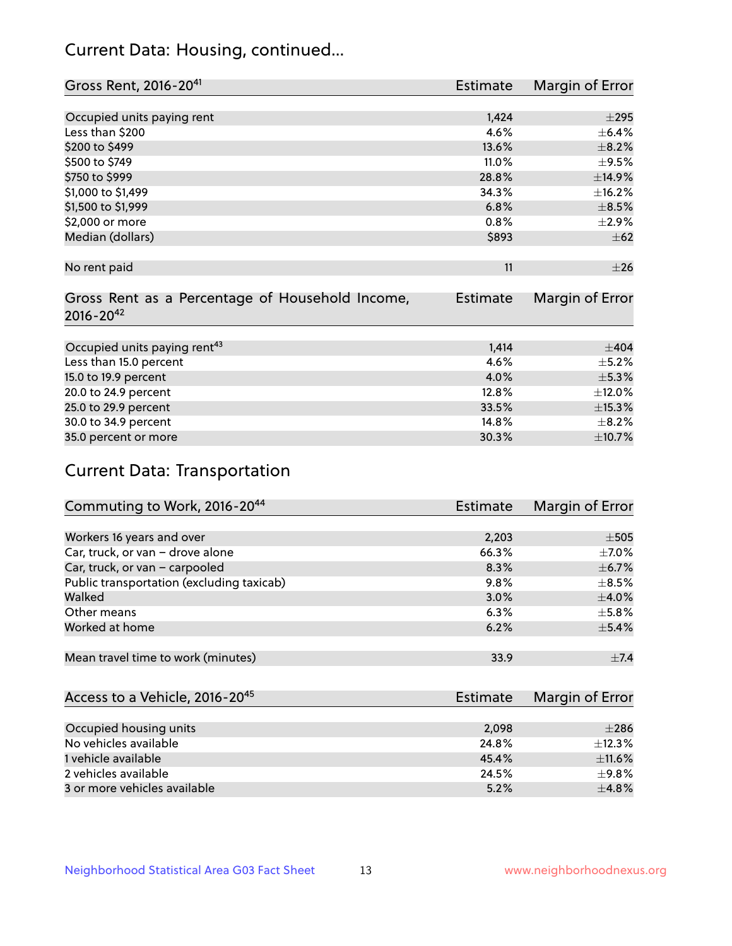# Current Data: Housing, continued...

| Gross Rent, 2016-20 <sup>41</sup>               | <b>Estimate</b> | Margin of Error |
|-------------------------------------------------|-----------------|-----------------|
|                                                 |                 |                 |
| Occupied units paying rent                      | 1,424           | $\pm 295$       |
| Less than \$200                                 | 4.6%            | $\pm$ 6.4%      |
| \$200 to \$499                                  | 13.6%           | $\pm$ 8.2%      |
| \$500 to \$749                                  | 11.0%           | $\pm$ 9.5%      |
| \$750 to \$999                                  | 28.8%           | ±14.9%          |
| \$1,000 to \$1,499                              | 34.3%           | ±16.2%          |
| \$1,500 to \$1,999                              | 6.8%            | $\pm$ 8.5%      |
| \$2,000 or more                                 | 0.8%            | ±2.9%           |
| Median (dollars)                                | \$893           | $\pm$ 62        |
|                                                 |                 |                 |
| No rent paid                                    | 11              | $\pm 26$        |
|                                                 |                 |                 |
| Gross Rent as a Percentage of Household Income, | <b>Estimate</b> | Margin of Error |
| $2016 - 20^{42}$                                |                 |                 |
|                                                 |                 |                 |
| Occupied units paying rent <sup>43</sup>        | 1,414           | $\pm$ 404       |
| Less than 15.0 percent                          | 4.6%            | $\pm$ 5.2%      |
| 15.0 to 19.9 percent                            | 4.0%            | $\pm$ 5.3%      |
| 20.0 to 24.9 percent                            | 12.8%           | $\pm$ 12.0%     |
| 25.0 to 29.9 percent                            | 33.5%           | $\pm$ 15.3%     |
| 30.0 to 34.9 percent                            | 14.8%           | $\pm$ 8.2%      |
| 35.0 percent or more                            | 30.3%           | $\pm$ 10.7%     |

# Current Data: Transportation

| Commuting to Work, 2016-20 <sup>44</sup>  | <b>Estimate</b> | Margin of Error |
|-------------------------------------------|-----------------|-----------------|
|                                           |                 |                 |
| Workers 16 years and over                 | 2,203           | $\pm$ 505       |
| Car, truck, or van - drove alone          | 66.3%           | $\pm$ 7.0%      |
| Car, truck, or van - carpooled            | 8.3%            | $\pm$ 6.7%      |
| Public transportation (excluding taxicab) | 9.8%            | $\pm$ 8.5%      |
| Walked                                    | 3.0%            | $\pm$ 4.0%      |
| Other means                               | 6.3%            | $\pm$ 5.8%      |
| Worked at home                            | 6.2%            | $\pm$ 5.4%      |
|                                           |                 |                 |
| Mean travel time to work (minutes)        | 33.9            | $\pm$ 7.4       |

| Access to a Vehicle, 2016-20 <sup>45</sup> | Estimate | Margin of Error |
|--------------------------------------------|----------|-----------------|
|                                            |          |                 |
| Occupied housing units                     | 2.098    | $\pm 286$       |
| No vehicles available                      | 24.8%    | ±12.3%          |
| 1 vehicle available                        | 45.4%    | $\pm$ 11.6%     |
| 2 vehicles available                       | 24.5%    | $+9.8%$         |
| 3 or more vehicles available               | 5.2%     | $+4.8%$         |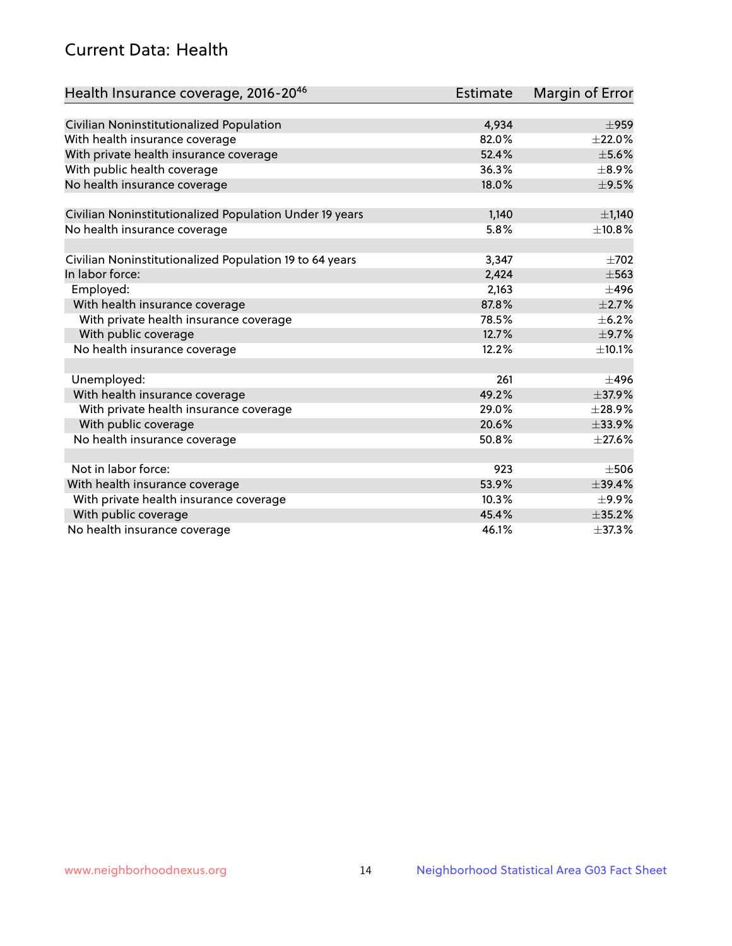# Current Data: Health

| Health Insurance coverage, 2016-2046                    | Estimate | Margin of Error |
|---------------------------------------------------------|----------|-----------------|
|                                                         |          |                 |
| Civilian Noninstitutionalized Population                | 4,934    | $\pm$ 959       |
| With health insurance coverage                          | 82.0%    | $\pm 22.0\%$    |
| With private health insurance coverage                  | 52.4%    | $\pm$ 5.6%      |
| With public health coverage                             | 36.3%    | $\pm$ 8.9%      |
| No health insurance coverage                            | 18.0%    | $\pm$ 9.5%      |
| Civilian Noninstitutionalized Population Under 19 years | 1,140    | $\pm$ 1,140     |
|                                                         | 5.8%     | ±10.8%          |
| No health insurance coverage                            |          |                 |
| Civilian Noninstitutionalized Population 19 to 64 years | 3,347    | $\pm 702$       |
| In labor force:                                         | 2,424    | $\pm$ 563       |
| Employed:                                               | 2,163    | $\pm 496$       |
| With health insurance coverage                          | 87.8%    | $\pm 2.7\%$     |
| With private health insurance coverage                  | 78.5%    | $\pm$ 6.2%      |
| With public coverage                                    | 12.7%    | $\pm$ 9.7%      |
| No health insurance coverage                            | 12.2%    | ±10.1%          |
|                                                         |          |                 |
| Unemployed:                                             | 261      | $\pm 496$       |
| With health insurance coverage                          | 49.2%    | ±37.9%          |
| With private health insurance coverage                  | 29.0%    | $\pm$ 28.9%     |
| With public coverage                                    | 20.6%    | ±33.9%          |
| No health insurance coverage                            | 50.8%    | $\pm$ 27.6%     |
|                                                         |          |                 |
| Not in labor force:                                     | 923      | $\pm$ 506       |
| With health insurance coverage                          | 53.9%    | $\pm$ 39.4%     |
| With private health insurance coverage                  | 10.3%    | $\pm$ 9.9%      |
| With public coverage                                    | 45.4%    | ±35.2%          |
| No health insurance coverage                            | 46.1%    | ±37.3%          |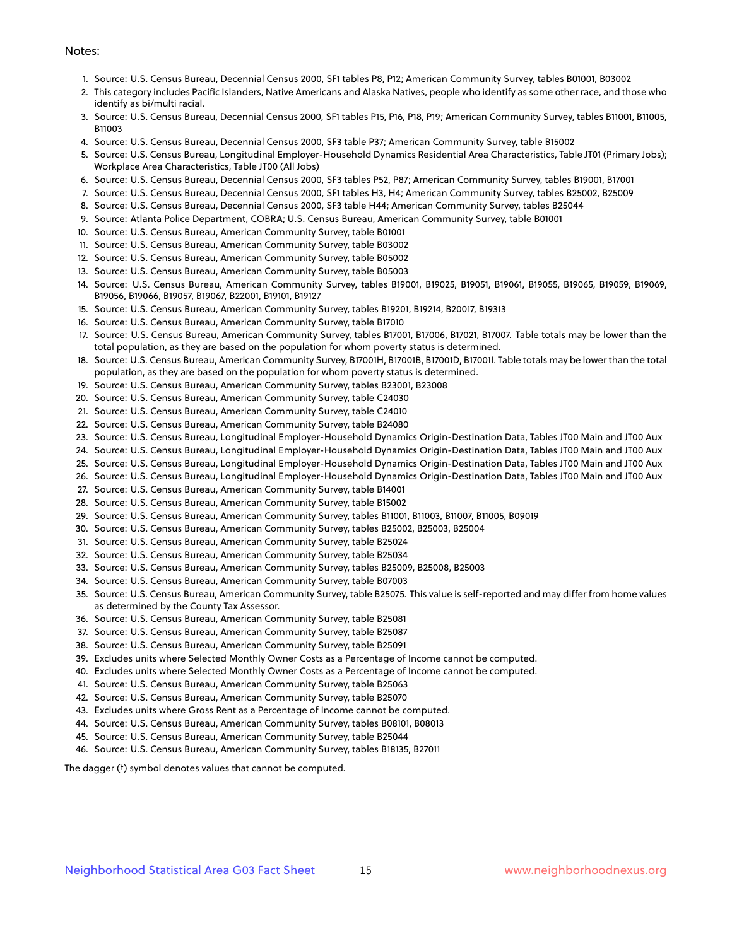#### Notes:

- 1. Source: U.S. Census Bureau, Decennial Census 2000, SF1 tables P8, P12; American Community Survey, tables B01001, B03002
- 2. This category includes Pacific Islanders, Native Americans and Alaska Natives, people who identify as some other race, and those who identify as bi/multi racial.
- 3. Source: U.S. Census Bureau, Decennial Census 2000, SF1 tables P15, P16, P18, P19; American Community Survey, tables B11001, B11005, B11003
- 4. Source: U.S. Census Bureau, Decennial Census 2000, SF3 table P37; American Community Survey, table B15002
- 5. Source: U.S. Census Bureau, Longitudinal Employer-Household Dynamics Residential Area Characteristics, Table JT01 (Primary Jobs); Workplace Area Characteristics, Table JT00 (All Jobs)
- 6. Source: U.S. Census Bureau, Decennial Census 2000, SF3 tables P52, P87; American Community Survey, tables B19001, B17001
- 7. Source: U.S. Census Bureau, Decennial Census 2000, SF1 tables H3, H4; American Community Survey, tables B25002, B25009
- 8. Source: U.S. Census Bureau, Decennial Census 2000, SF3 table H44; American Community Survey, tables B25044
- 9. Source: Atlanta Police Department, COBRA; U.S. Census Bureau, American Community Survey, table B01001
- 10. Source: U.S. Census Bureau, American Community Survey, table B01001
- 11. Source: U.S. Census Bureau, American Community Survey, table B03002
- 12. Source: U.S. Census Bureau, American Community Survey, table B05002
- 13. Source: U.S. Census Bureau, American Community Survey, table B05003
- 14. Source: U.S. Census Bureau, American Community Survey, tables B19001, B19025, B19051, B19061, B19055, B19065, B19059, B19069, B19056, B19066, B19057, B19067, B22001, B19101, B19127
- 15. Source: U.S. Census Bureau, American Community Survey, tables B19201, B19214, B20017, B19313
- 16. Source: U.S. Census Bureau, American Community Survey, table B17010
- 17. Source: U.S. Census Bureau, American Community Survey, tables B17001, B17006, B17021, B17007. Table totals may be lower than the total population, as they are based on the population for whom poverty status is determined.
- 18. Source: U.S. Census Bureau, American Community Survey, B17001H, B17001B, B17001D, B17001I. Table totals may be lower than the total population, as they are based on the population for whom poverty status is determined.
- 19. Source: U.S. Census Bureau, American Community Survey, tables B23001, B23008
- 20. Source: U.S. Census Bureau, American Community Survey, table C24030
- 21. Source: U.S. Census Bureau, American Community Survey, table C24010
- 22. Source: U.S. Census Bureau, American Community Survey, table B24080
- 23. Source: U.S. Census Bureau, Longitudinal Employer-Household Dynamics Origin-Destination Data, Tables JT00 Main and JT00 Aux
- 24. Source: U.S. Census Bureau, Longitudinal Employer-Household Dynamics Origin-Destination Data, Tables JT00 Main and JT00 Aux
- 25. Source: U.S. Census Bureau, Longitudinal Employer-Household Dynamics Origin-Destination Data, Tables JT00 Main and JT00 Aux
- 26. Source: U.S. Census Bureau, Longitudinal Employer-Household Dynamics Origin-Destination Data, Tables JT00 Main and JT00 Aux
- 27. Source: U.S. Census Bureau, American Community Survey, table B14001
- 28. Source: U.S. Census Bureau, American Community Survey, table B15002
- 29. Source: U.S. Census Bureau, American Community Survey, tables B11001, B11003, B11007, B11005, B09019
- 30. Source: U.S. Census Bureau, American Community Survey, tables B25002, B25003, B25004
- 31. Source: U.S. Census Bureau, American Community Survey, table B25024
- 32. Source: U.S. Census Bureau, American Community Survey, table B25034
- 33. Source: U.S. Census Bureau, American Community Survey, tables B25009, B25008, B25003
- 34. Source: U.S. Census Bureau, American Community Survey, table B07003
- 35. Source: U.S. Census Bureau, American Community Survey, table B25075. This value is self-reported and may differ from home values as determined by the County Tax Assessor.
- 36. Source: U.S. Census Bureau, American Community Survey, table B25081
- 37. Source: U.S. Census Bureau, American Community Survey, table B25087
- 38. Source: U.S. Census Bureau, American Community Survey, table B25091
- 39. Excludes units where Selected Monthly Owner Costs as a Percentage of Income cannot be computed.
- 40. Excludes units where Selected Monthly Owner Costs as a Percentage of Income cannot be computed.
- 41. Source: U.S. Census Bureau, American Community Survey, table B25063
- 42. Source: U.S. Census Bureau, American Community Survey, table B25070
- 43. Excludes units where Gross Rent as a Percentage of Income cannot be computed.
- 44. Source: U.S. Census Bureau, American Community Survey, tables B08101, B08013
- 45. Source: U.S. Census Bureau, American Community Survey, table B25044
- 46. Source: U.S. Census Bureau, American Community Survey, tables B18135, B27011

The dagger (†) symbol denotes values that cannot be computed.